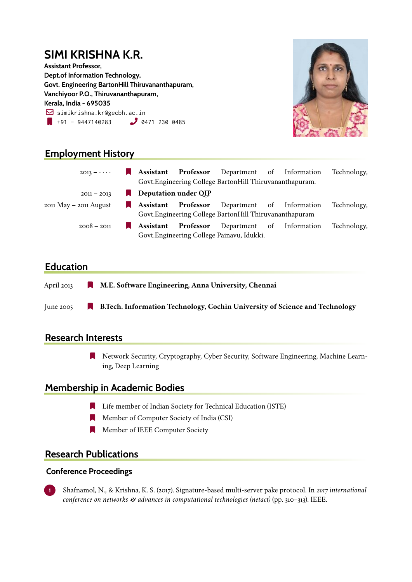## **SIMI KRISHNA K.R. Assistant Professor, Dept.of Information Technology, Govt. Engineering BartonHill Thiruvananthapuram, Vanchiyoor P.O., Thiruvananthapuram, Kerala, India - 695035**  $\boxdot$  simikrishna.kr@gecbh.ac.in  $\bullet$  +91 - 9447140283  $\bullet$  0471 230 0485



# **Employment History**

| $2013 - \cdots$            |                                                           |           | <b>Assistant Professor</b> Department of Information |  |  | Technology, |
|----------------------------|-----------------------------------------------------------|-----------|------------------------------------------------------|--|--|-------------|
|                            | Govt. Engineering College Barton Hill Thiruvananthapuram. |           |                                                      |  |  |             |
| $2011 - 2013$              | Deputation under QIP                                      |           |                                                      |  |  |             |
| $2011$ May $-$ 2011 August |                                                           |           | <b>Assistant Professor</b> Department of Information |  |  | Technology, |
|                            | Govt. Engineering College Barton Hill Thiruvananthapuram  |           |                                                      |  |  |             |
| $2008 - 2011$              | $\blacksquare$ Assistant                                  | Professor | Department of Information                            |  |  | Technology, |
|                            | Govt. Engineering College Painavu, Idukki.                |           |                                                      |  |  |             |

# **Education**

- April 2013 [ **M.E. Software Engineering, Anna University, Chennai**
- June 2005 [ **B.Tech. Information Technology, Cochin University of Science and Technology**

### **Research Interests**

**Network Security, Cryptography, Cyber Security, Software Engineering, Machine Learn**ing, Deep Learning

### **Membership in Academic Bodies**

- **Example 1** Life member of Indian Society for Technical Education (ISTE)
- **Number of Computer Society of India (CSI)**
- **Number of IEEE Computer Society**

# **Research Publications**

#### **Conference Proceedings**

**1** Shafnamol, N., & Krishna, K. S. (2017). Signature-based multi-server pake protocol. In *2017 international conference on networks & advances in computational technologies (netact)* (pp. 310–313). IEEE.